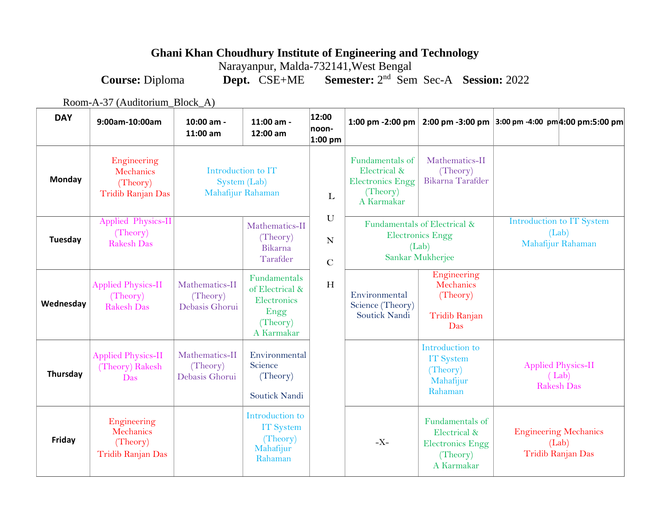## **Ghani Khan Choudhury Institute of Engineering and Technology**

Narayanpur, Malda-732141,West Bengal

**Course:** Diploma **Dept.** CSE+ME nd Sem Sec-A **Session:** 2022

Room-A-37 (Auditorium\_Block\_A)

| <b>DAY</b> | 9:00am-10:00am                                            | 10:00 am -<br>11:00 am                                  | 11:00 am -<br>12:00 am                                                           | 12:00<br>noon-<br>$1:00$ pm     | 1:00 pm -2:00 pm                                                                     | $2:00 \text{ pm } -3:00 \text{ pm }$                                                 | 3:00 pm -4:00 pm 4:00 pm:5:00 pm                           |                   |
|------------|-----------------------------------------------------------|---------------------------------------------------------|----------------------------------------------------------------------------------|---------------------------------|--------------------------------------------------------------------------------------|--------------------------------------------------------------------------------------|------------------------------------------------------------|-------------------|
| Monday     | Engineering<br>Mechanics<br>(Theory)<br>Tridib Ranjan Das | Introduction to IT<br>System (Lab)<br>Mahafijur Rahaman |                                                                                  | L                               | Fundamentals of<br>Electrical &<br><b>Electronics Engg</b><br>(Theory)<br>A Karmakar | Mathematics-II<br>(Theory)<br>Bikarna Tarafder                                       |                                                            |                   |
| Tuesday    | Applied Physics-II<br>(Theory)<br><b>Rakesh Das</b>       | Mathematics-II<br>(Theory)<br>Bikarna<br>Tarafder       |                                                                                  | $\mathbf U$<br>N<br>$\mathbf C$ | Fundamentals of Electrical &<br><b>Electronics Engg</b><br>(Lab)<br>Sankar Mukherjee |                                                                                      | Introduction to IT System<br>(Lab)<br>Mahafijur Rahaman    |                   |
| Wednesday  | <b>Applied Physics-II</b><br>(Theory)<br>Rakesh Das       | Mathematics-II<br>(Theory)<br>Debasis Ghorui            | Fundamentals<br>of Electrical &<br>Electronics<br>Engg<br>(Theory)<br>A Karmakar | H                               | Environmental<br>Science (Theory)<br>Soutick Nandi                                   | Engineering<br>Mechanics<br>(Theory)<br>Tridib Ranjan<br>Das                         |                                                            |                   |
| Thursday   | <b>Applied Physics-II</b><br>(Theory) Rakesh<br>Das       | Mathematics-II<br>(Theory)<br>Debasis Ghorui            | Environmental<br>Science<br>(Theory)<br>Soutick Nandi                            |                                 |                                                                                      | Introduction to<br><b>IT System</b><br>(Theory)<br>Mahafijur<br>Rahaman              | <b>Applied Physics-II</b><br>(Lab)                         | <b>Rakesh Das</b> |
| Friday     | Engineering<br>Mechanics<br>(Theory)<br>Tridib Ranjan Das |                                                         | Introduction to<br><b>IT</b> System<br>(Theory)<br>Mahafijur<br>Rahaman          |                                 | $-X-$                                                                                | Fundamentals of<br>Electrical &<br><b>Electronics Engg</b><br>(Theory)<br>A Karmakar | <b>Engineering Mechanics</b><br>(Lab)<br>Tridib Ranjan Das |                   |